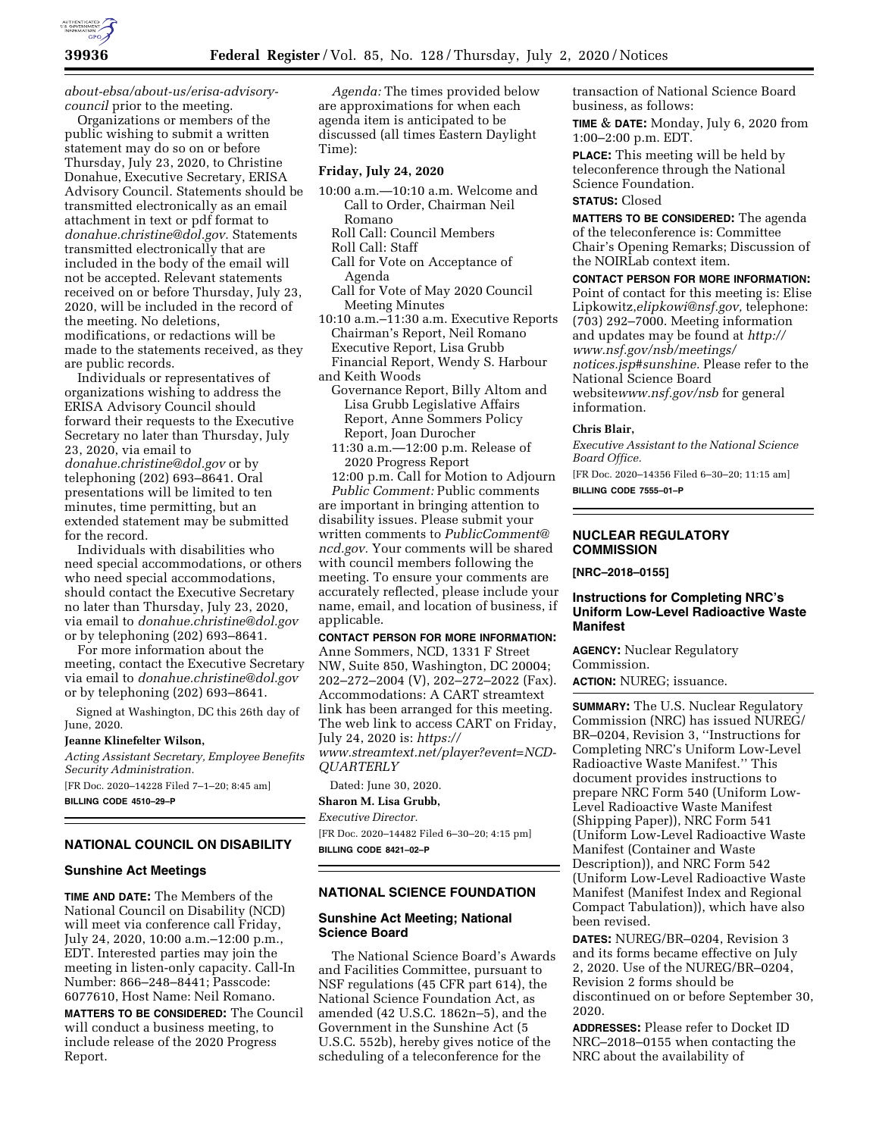

*[about-ebsa/about-us/erisa-advisory](https://www.dol.gov/agencies/ebsa/about-ebsa/about-us/erisa-advisory-council)[council](https://www.dol.gov/agencies/ebsa/about-ebsa/about-us/erisa-advisory-council)* prior to the meeting.

Organizations or members of the public wishing to submit a written statement may do so on or before Thursday, July 23, 2020, to Christine Donahue, Executive Secretary, ERISA Advisory Council. Statements should be transmitted electronically as an email attachment in text or pdf format to *[donahue.christine@dol.gov.](mailto:donahue.christine@dol.gov)* Statements transmitted electronically that are included in the body of the email will not be accepted. Relevant statements received on or before Thursday, July 23, 2020, will be included in the record of the meeting. No deletions, modifications, or redactions will be made to the statements received, as they are public records.

Individuals or representatives of organizations wishing to address the ERISA Advisory Council should forward their requests to the Executive Secretary no later than Thursday, July 23, 2020, via email to *[donahue.christine@dol.gov](mailto:donahue.christine@dol.gov)* or by telephoning (202) 693–8641. Oral

presentations will be limited to ten minutes, time permitting, but an extended statement may be submitted for the record.

Individuals with disabilities who need special accommodations, or others who need special accommodations, should contact the Executive Secretary no later than Thursday, July 23, 2020, via email to *[donahue.christine@dol.gov](mailto:donahue.christine@dol.gov)*  or by telephoning (202) 693–8641.

For more information about the meeting, contact the Executive Secretary via email to *[donahue.christine@dol.gov](mailto:donahue.christine@dol.gov)*  or by telephoning (202) 693–8641.

Signed at Washington, DC this 26th day of June, 2020.

### **Jeanne Klinefelter Wilson,**

*Acting Assistant Secretary, Employee Benefits Security Administration.*  [FR Doc. 2020–14228 Filed 7–1–20; 8:45 am]

**BILLING CODE 4510–29–P** 

### **NATIONAL COUNCIL ON DISABILITY**

#### **Sunshine Act Meetings**

**TIME AND DATE:** The Members of the National Council on Disability (NCD) will meet via conference call Friday, July 24, 2020, 10:00 a.m.–12:00 p.m., EDT. Interested parties may join the meeting in listen-only capacity. Call-In Number: 866–248–8441; Passcode: 6077610, Host Name: Neil Romano. **MATTERS TO BE CONSIDERED:** The Council will conduct a business meeting, to include release of the 2020 Progress Report.

*Agenda:* The times provided below are approximations for when each agenda item is anticipated to be discussed (all times Eastern Daylight Time):

#### **Friday, July 24, 2020**

- 10:00 a.m.—10:10 a.m. Welcome and Call to Order, Chairman Neil Romano
	- Roll Call: Council Members
	- Roll Call: Staff Call for Vote on Acceptance of
		- Agenda
	- Call for Vote of May 2020 Council Meeting Minutes
- 10:10 a.m.–11:30 a.m. Executive Reports Chairman's Report, Neil Romano Executive Report, Lisa Grubb Financial Report, Wendy S. Harbour and Keith Woods
- Governance Report, Billy Altom and Lisa Grubb Legislative Affairs Report, Anne Sommers Policy Report, Joan Durocher
- 11:30 a.m.—12:00 p.m. Release of 2020 Progress Report

12:00 p.m. Call for Motion to Adjourn *Public Comment:* Public comments are important in bringing attention to disability issues. Please submit your written comments to *[PublicComment@](mailto:PublicComment@ncd.gov) [ncd.gov.](mailto:PublicComment@ncd.gov)* Your comments will be shared with council members following the meeting. To ensure your comments are accurately reflected, please include your name, email, and location of business, if applicable.

# **CONTACT PERSON FOR MORE INFORMATION:**

Anne Sommers, NCD, 1331 F Street NW, Suite 850, Washington, DC 20004; 202–272–2004 (V), 202–272–2022 (Fax). Accommodations: A CART streamtext link has been arranged for this meeting. The web link to access CART on Friday, July 24, 2020 is: *[https://](https://www.streamtext.net/player?event=NCD-QUARTERLY) [www.streamtext.net/player?event=NCD-](https://www.streamtext.net/player?event=NCD-QUARTERLY)[QUARTERLY](https://www.streamtext.net/player?event=NCD-QUARTERLY)* 

Dated: June 30, 2020. **Sharon M. Lisa Grubb,** 

*Executive Director.* 

[FR Doc. 2020–14482 Filed 6–30–20; 4:15 pm] **BILLING CODE 8421–02–P** 

### **NATIONAL SCIENCE FOUNDATION**

### **Sunshine Act Meeting; National Science Board**

The National Science Board's Awards and Facilities Committee, pursuant to NSF regulations (45 CFR part 614), the National Science Foundation Act, as amended (42 U.S.C. 1862n–5), and the Government in the Sunshine Act (5 U.S.C. 552b), hereby gives notice of the scheduling of a teleconference for the

transaction of National Science Board business, as follows:

**TIME** & **DATE:** Monday, July 6, 2020 from 1:00–2:00 p.m. EDT.

**PLACE:** This meeting will be held by teleconference through the National Science Foundation.

### **STATUS:** Closed

**MATTERS TO BE CONSIDERED:** The agenda of the teleconference is: Committee Chair's Opening Remarks; Discussion of the NOIRLab context item.

**CONTACT PERSON FOR MORE INFORMATION:** 

Point of contact for this meeting is: Elise Lipkowitz,*[elipkowi@nsf.gov,](mailto:elipkowi@nsf.gov)* telephone: (703) 292–7000. Meeting information and updates may be found at *[http://](http://www.nsf.gov/nsb/meetings/notices.jsp#sunshine) [www.nsf.gov/nsb/meetings/](http://www.nsf.gov/nsb/meetings/notices.jsp#sunshine)  [notices.jsp#sunshine.](http://www.nsf.gov/nsb/meetings/notices.jsp#sunshine)* Please refer to the National Science Board website*[www.nsf.gov/nsb](http://www.nsf.gov/nsb)* for general information.

#### **Chris Blair,**

*Executive Assistant to the National Science Board Office.* 

[FR Doc. 2020–14356 Filed 6–30–20; 11:15 am] **BILLING CODE 7555–01–P** 

**NUCLEAR REGULATORY COMMISSION** 

**[NRC–2018–0155]** 

### **Instructions for Completing NRC's Uniform Low-Level Radioactive Waste Manifest**

**AGENCY:** Nuclear Regulatory Commission.

**ACTION:** NUREG; issuance.

**SUMMARY:** The U.S. Nuclear Regulatory Commission (NRC) has issued NUREG/ BR–0204, Revision 3, ''Instructions for Completing NRC's Uniform Low-Level Radioactive Waste Manifest.'' This document provides instructions to prepare NRC Form 540 (Uniform Low-Level Radioactive Waste Manifest (Shipping Paper)), NRC Form 541 (Uniform Low-Level Radioactive Waste Manifest (Container and Waste Description)), and NRC Form 542 (Uniform Low-Level Radioactive Waste Manifest (Manifest Index and Regional Compact Tabulation)), which have also been revised.

**DATES:** NUREG/BR–0204, Revision 3 and its forms became effective on July 2, 2020. Use of the NUREG/BR–0204, Revision 2 forms should be discontinued on or before September 30, 2020.

**ADDRESSES:** Please refer to Docket ID NRC–2018–0155 when contacting the NRC about the availability of